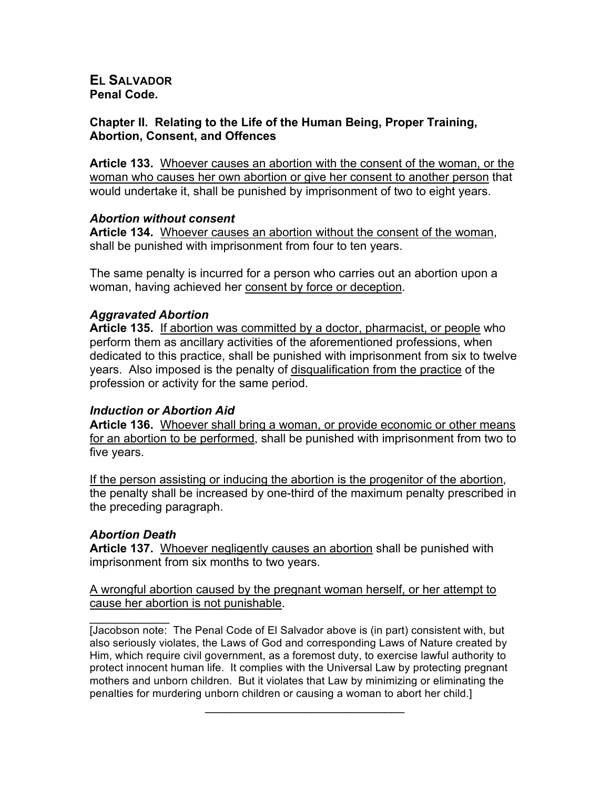## **EL SALVADOR Penal Code.**

## **Chapter II. Relating to the Life of the Human Being, Proper Training, Abortion, Consent, and Offences**

**Article 133.** Whoever causes an abortion with the consent of the woman, or the woman who causes her own abortion or give her consent to another person that would undertake it, shall be punished by imprisonment of two to eight years.

## *Abortion without consent*

**Article 134.** Whoever causes an abortion without the consent of the woman, shall be punished with imprisonment from four to ten years.

The same penalty is incurred for a person who carries out an abortion upon a woman, having achieved her consent by force or deception.

# *Aggravated Abortion*

**Article 135.** If abortion was committed by a doctor, pharmacist, or people who perform them as ancillary activities of the aforementioned professions, when dedicated to this practice, shall be punished with imprisonment from six to twelve years. Also imposed is the penalty of disqualification from the practice of the profession or activity for the same period.

# *Induction or Abortion Aid*

Article 136. Whoever shall bring a woman, or provide economic or other means for an abortion to be performed, shall be punished with imprisonment from two to five years.

If the person assisting or inducing the abortion is the progenitor of the abortion, the penalty shall be increased by one-third of the maximum penalty prescribed in the preceding paragraph.

# *Abortion Death*

**Article 137.** Whoever negligently causes an abortion shall be punished with imprisonment from six months to two years.

A wrongful abortion caused by the pregnant woman herself, or her attempt to cause her abortion is not punishable.

 $\frac{1}{2}$ [Jacobson note: The Penal Code of El Salvador above is (in part) consistent with, but also seriously violates, the Laws of God and corresponding Laws of Nature created by Him, which require civil government, as a foremost duty, to exercise lawful authority to protect innocent human life. It complies with the Universal Law by protecting pregnant mothers and unborn children. But it violates that Law by minimizing or eliminating the penalties for murdering unborn children or causing a woman to abort her child.]

 $\mathcal{L}=\{1,2,3,4,5\}$